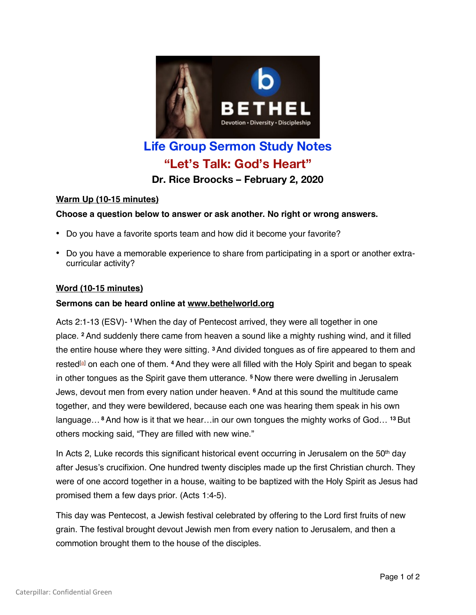

# **Life Group Sermon Study Notes "Let's Talk: God's Heart"**

**Dr. Rice Broocks – February 2, 2020**

## **Warm Up (10-15 minutes)**

## **Choose a question below to answer or ask another. No right or wrong answers.**

- Do you have a favorite sports team and how did it become your favorite?
- Do you have a memorable experience to share from participating in a sport or another extracurricular activity?

#### **Word (10-15 minutes)**

#### **Sermons can be heard online at www.bethelworld.org**

Acts 2:1-13 (ESV)- **<sup>1</sup>**When the day of Pentecost arrived, they were all together in one place. **<sup>2</sup>** And suddenly there came from heaven a sound like a mighty rushing wind, and it filled the entire house where they were sitting. **<sup>3</sup>**And divided tongues as of fire appeared to them and rested[a] on each one of them. **<sup>4</sup>** And they were all filled with the Holy Spirit and began to speak in other tongues as the Spirit gave them utterance. **<sup>5</sup>** Now there were dwelling in Jerusalem Jews, devout men from every nation under heaven. **<sup>6</sup>** And at this sound the multitude came together, and they were bewildered, because each one was hearing them speak in his own language… **<sup>8</sup>** And how is it that we hear…in our own tongues the mighty works of God… **<sup>13</sup>** But others mocking said, "They are filled with new wine."

In Acts 2, Luke records this significant historical event occurring in Jerusalem on the  $50<sup>th</sup>$  day after Jesus's crucifixion. One hundred twenty disciples made up the first Christian church. They were of one accord together in a house, waiting to be baptized with the Holy Spirit as Jesus had promised them a few days prior. (Acts 1:4-5).

This day was Pentecost, a Jewish festival celebrated by offering to the Lord first fruits of new grain. The festival brought devout Jewish men from every nation to Jerusalem, and then a commotion brought them to the house of the disciples.